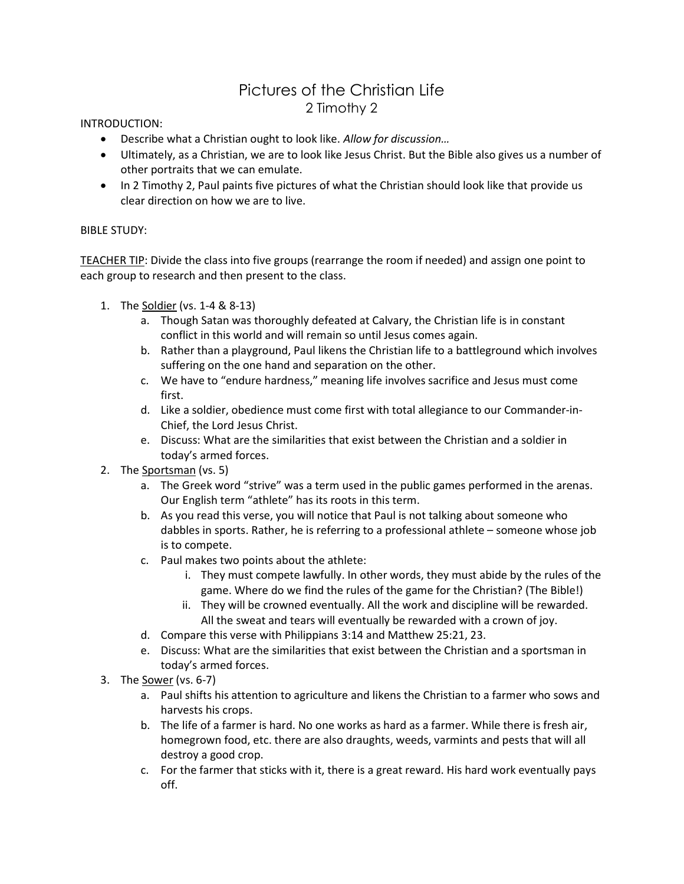## Pictures of the Christian Life 2 Timothy 2

INTRODUCTION:

- Describe what a Christian ought to look like. Allow for discussion...
- Ultimately, as a Christian, we are to look like Jesus Christ. But the Bible also gives us a number of other portraits that we can emulate.
- In 2 Timothy 2, Paul paints five pictures of what the Christian should look like that provide us clear direction on how we are to live.

## BIBLE STUDY:

TEACHER TIP: Divide the class into five groups (rearrange the room if needed) and assign one point to each group to research and then present to the class.

- 1. The Soldier (vs. 1-4 & 8-13)
	- a. Though Satan was thoroughly defeated at Calvary, the Christian life is in constant conflict in this world and will remain so until Jesus comes again.
	- b. Rather than a playground, Paul likens the Christian life to a battleground which involves suffering on the one hand and separation on the other.
	- c. We have to "endure hardness," meaning life involves sacrifice and Jesus must come first.
	- d. Like a soldier, obedience must come first with total allegiance to our Commander-in-Chief, the Lord Jesus Christ.
	- e. Discuss: What are the similarities that exist between the Christian and a soldier in today's armed forces.
- 2. The Sportsman (vs. 5)
	- a. The Greek word "strive" was a term used in the public games performed in the arenas. Our English term "athlete" has its roots in this term.
	- b. As you read this verse, you will notice that Paul is not talking about someone who dabbles in sports. Rather, he is referring to a professional athlete – someone whose job is to compete.
	- c. Paul makes two points about the athlete:
		- i. They must compete lawfully. In other words, they must abide by the rules of the game. Where do we find the rules of the game for the Christian? (The Bible!)
		- ii. They will be crowned eventually. All the work and discipline will be rewarded. All the sweat and tears will eventually be rewarded with a crown of joy.
	- d. Compare this verse with Philippians 3:14 and Matthew 25:21, 23.
	- e. Discuss: What are the similarities that exist between the Christian and a sportsman in today's armed forces.
- 3. The Sower (vs. 6-7)
	- a. Paul shifts his attention to agriculture and likens the Christian to a farmer who sows and harvests his crops.
	- b. The life of a farmer is hard. No one works as hard as a farmer. While there is fresh air, homegrown food, etc. there are also draughts, weeds, varmints and pests that will all destroy a good crop.
	- c. For the farmer that sticks with it, there is a great reward. His hard work eventually pays off.